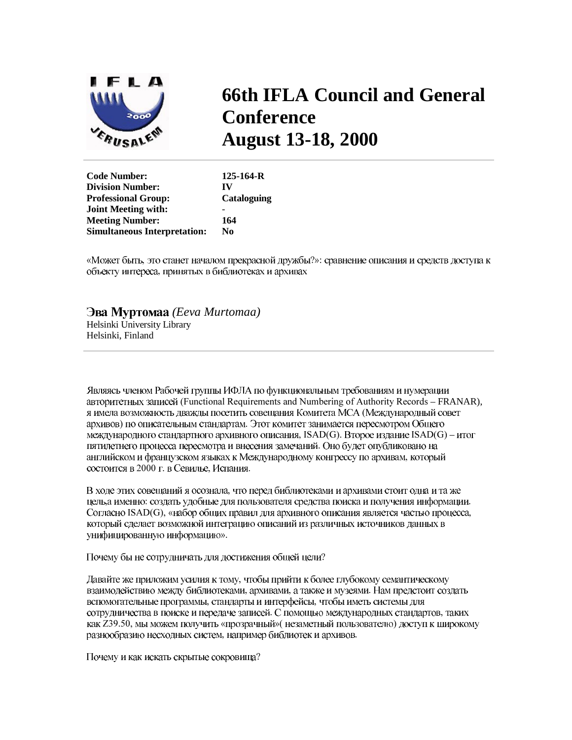

# **66th IFLA Council and General Conference August 13-18, 2000**

| <b>Code Number:</b>                 | $125 - 164 - R$    |
|-------------------------------------|--------------------|
| <b>Division Number:</b>             | IV                 |
| <b>Professional Group:</b>          | <b>Cataloguing</b> |
| <b>Joint Meeting with:</b>          |                    |
| <b>Meeting Number:</b>              | 164                |
| <b>Simultaneous Interpretation:</b> | N0                 |
|                                     |                    |

«Может быть, это станет началом прекрасной дружбы?»: сравнение описания и средств доступа к объекту интереса, принятых в библиотеках и архивах

### Эва Муртомаа (Eeva Murtomaa)

Helsinki University Library Helsinki, Finland

Являясь членом Рабочей группы ИФЛА по функциональным требованиям и нумерации авторитетных записей (Functional Requirements and Numbering of Authority Records - FRANAR), я имела возможность дважды посетить совещания Комитета МСА (Международный совет архивов) по описательным стандартам. Этот комитет занимается пересмотром Общего международного стандартного архивного описания, ISAD(G). Второе издание ISAD(G) – итог пятилетнего процесса пересмотра и внесения замечаний. Оно будет опубликовано на английском и французском языках к Международному конгрессу по архивам, который состоится в 2000 г. в Севилье, Испания.

В ходе этих совещаний я осознала, что перед библиотеками и архивами стоит одна и та же цель, а именно: создать удобные для пользователя средства поиска и получения информации. Согласно ISAD(G), «набор общих правил для архивного описания является частью процесса, который сделает возможной интеграцию описаний из различных источников данных в унифицированную информацию».

Почему бы не сотрудничать для достижения общей цели?

Давайте же приложим усилия к тому, чтобы прийти к более глубокому семантическому взаимодействию между библиотеками, архивами, а также и музеями. Нам предстоит создать вспомогательные программы, стандарты и интерфейсы, чтобы иметь системы для сотрудничества в поиске и передаче записей. С помощью международных стандартов, таких как Z39.50, мы можем получить «прозрачный» (незаметный пользователю) доступ к широкому разнообразию несходных систем, например библиотек и архивов.

Почему и как искать скрытые сокровища?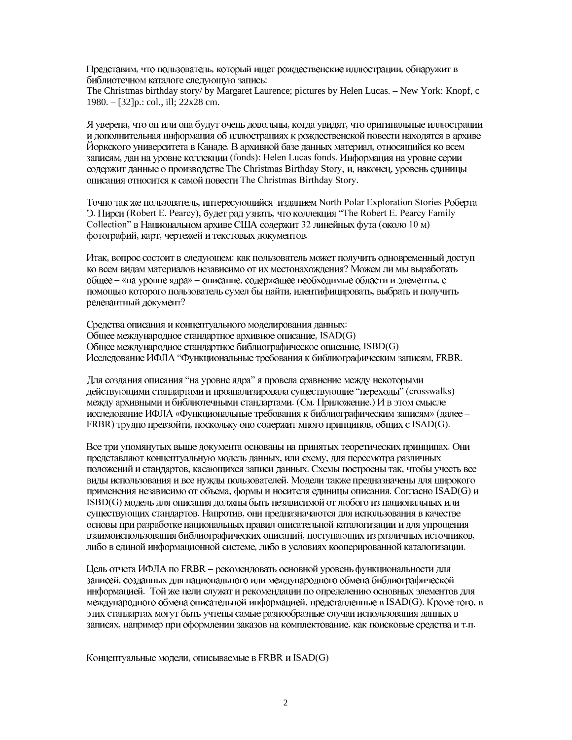Представим, что пользователь, который ищет рождественские иллюстрации, обнаружит в библиотечном каталоге следующую запись:

The Christmas birthday story/ by Margaret Laurence; pictures by Helen Lucas. – New York: Knopf, c 1980. – [32]p.: col., ill; 22x28 cm.

Я уверена, что он или она будут очень довольны, когда увидят, что оригинальные иллюстрации и лополнительная информация об иллюстрациях к рождественской повести нахолятся в архиве Йоркского университета в Канаде. В архивной базе данных материал, относящийся ко всем записям, дан на уровне коллекции (fonds): Helen Lucas fonds. Информация на уровне серии содержит данные о производстве The Christmas Birthday Story, и, наконец, уровень единицы описания относится к самой повести The Christmas Birthday Story.

Точно так же пользователь, интересующийся изданием North Polar Exploration Stories Роберта Э. Пирси (Robert E. Pearcy), будет рад узнать, что коллекция "The Robert E. Pearcy Family Collection" в Национальном архиве США содержит 32 линейных фута (около 10 м) фотографий, карт, чертежей и текстовых документов.

Итак, вопрос состоит в следующем: как пользователь может получить одновременный доступ ко всем видам материалов независимо от их местонахождения? Можем ли мы выработать общее - «на уровне ядра» - описание, содержащее необходимые области и элементы, с помощью которого пользователь сумел бы найти, идентифицировать, выбрать и получить релевантный документ?

Средства описания и концептуального моделирования данных: Общее международное стандартное архивное описание, ISAD(G) Общее международное стандартное библиографическое описание, ISBD(G) Исследование ИФЛА "Функциональные требования к библиографическим записям, FRBR.

Для создания описания "на уровне ядра" я провела сравнение между некоторыми действующими стандартами и проанализировала существующие "переходы" (crosswalks) между архивными и библиотечными стандартами. (См. Приложение.) И в этом смысле исследование ИФЛА «Функциональные требования к библиографическим записям» (далее -FRBR) трудно превзойти, поскольку оно содержит много принципов, общих с ISAD(G).

Все три упомянутых выше документа основаны на принятых теоретических принципах. Они представляют концептуальную модель данных, или схему, для пересмотра различных положений и стандартов, касающихся записи данных. Схемы построены так, чтобы учесть все виды использования и все нужды пользователей. Модели также предназначены для широкого применения независимо от объема, формы и носителя единицы описания. Согласно ISAD(G) и ISBD(G) модель для описания должны быть независимой от любого из национальных или существующих стандартов. Напротив, они предназначаются для использования в качестве основы при разработке национальных правил описательной каталогизации и для упрощения взаимоиспользования библиографических описаний, поступающих из различных источников, либо в единой информационной системе, либо в условиях кооперированной каталогизации.

Цель отчета ИФЛА по FRBR - рекомендовать основной уровень функциональности для записей, созданных для национального или международного обмена библиографической информацией. Той же цели служат и рекомендации по определению основных элементов для международного обмена описательной информацией, представленные в ISAD(G). Кроме того, в этих стандартах могут быть учтены самые разнообразные случаи использования данных в записях, например при оформлении заказов на комплектование, как поисковые средства и т.п.

Концептуальные модели, описываемые в FRBR и ISAD(G)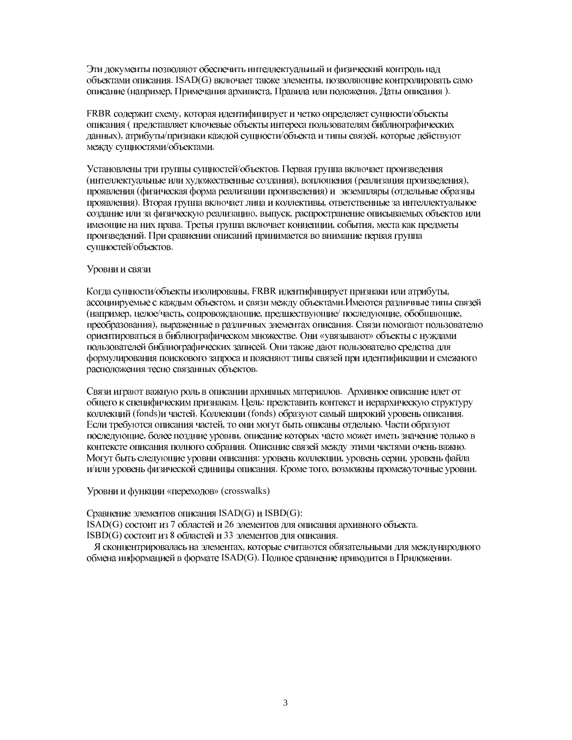Эти документы позволяют обеспечить интеллектуальный и физический контроль над объектами описания. ISAD(G) включает также элементы, позволяющие контролировать само описание (например, Примечания архивиста, Правила или положения, Даты описания).

FRBR содержит схему, которая идентифицирует и четко определяет сущности/объекты описания (представляет ключевые объекты интереса пользователям библиографических данных), атрибуты/признаки каждой сущности/объекта и типы связей, которые действуют между сущностями/объектами.

Установлены три группы сущностей/объектов. Первая группа включает произведения (интеллектуальные или художественные создания), воплощения (реализация произведения), проявления (физическая форма реализации произведения) и экземпляры (отдельные образцы проявления). Вторая группа включает лица и коллективы, ответственные за интеллектуальное создание или за физическую реализацию, выпуск, распространение описываемых объектов или имеющие на них права. Третья группа включает концепции, события, места как предметы произведений. При сравнении описаний принимается во внимание первая группа сущностей/объектов.

#### Уровни и связи

Когда сущности/объекты изолированы, FRBR идентифицирует признаки или атрибуты, ассоциируемые с каждым объектом, и связи между объектами. Имеются различные типы связей (например, целое/часть, сопровождающие, предшествующие/ последующие, обобщающие, преобразования), выраженные в различных элементах описания. Связи помогают пользователю ориентироваться в библиографическом множестве. Они «увязывают» объекты с нуждами пользователей библиографических записей. Они также дают пользователю средства для формулирования поискового запроса и поясняют типы связей при идентификации и смежного расположения тесно связанных объектов.

Связи играют важную роль в описании архивных материалов. Архивное описание идет от общего к специфическим признакам. Цель: представить контекст и иерархическую структуру коллекций (fonds)и частей. Коллекции (fonds) образуют самый широкий уровень описания. Если требуются описания частей, то они могут быть описаны отдельно. Части образуют последующие, более поздние уровни, описание которых часто может иметь значение только в контексте описания полного собрания. Описание связей между этими частями очень важно. Могут быть следующие уровни описания: уровень коллекции, уровень серии, уровень файла и/или уровень физической единицы описания. Кроме того, возможны промежуточные уровни.

Уровни и функции «переходов» (crosswalks)

Сравнение элементов описания ISAD(G) и ISBD(G): ISAD(G) состоит из 7 областей и 26 элементов для описания архивного объекта. ISBD(G) состоит из 8 областей и 33 элементов для описания.

Я сконцентрировалась на элементах, которые считаются обязательными для международного обмена информацией в формате ISAD(G). Полное сравнение приводится в Приложении.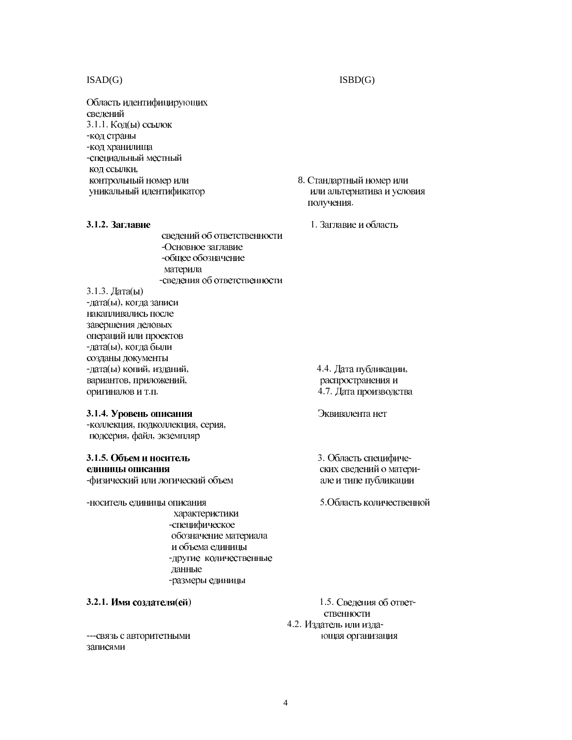#### $ISAD(G)$

Область идентифицирующих сведений 3.1.1. Код(ы) ссылок -код страны -код хранилища -специальный местный код ссылки, контрольный номер или уникальный идентификатор

3.1.2. Заглавие

сведений об ответственности -Основное заглавие -общее обозначение материла -сведения об ответственности

3.1.3. Дата(ы)

-дата(ы), когда записи накапливались после завершения деловых операций или проектов -дата(ы), когда были созданы документы -дата(ы) копий, изданий, вариантов, приложений, оригиналов и т.п.

#### 3.1.4. Уровень описания

-коллекция, подколлекция, серия, подсерия, файл, экземпляр

## 3.1.5. Объем и носитель

единицы описания -физический или логический объем

-носитель единицы описания

характеристики -специфическое обозначение материала и объема единицы -другие количественные данные -размеры единицы

3.2.1. Имя создателя(ей)

--- связь с авторитетными записями

8. Стандартный номер или или альтернатива и условия получения.

1. Заглавие и область

4.4. Дата публикации, распространения и 4.7. Дата производства

#### Эквивалента нет

3. Область специфических сведений о материале и типе публикации

5. Область количественной

1.5. Сведения об ответственности 4.2. Издатель или издающая организация

#### $ISBN(G)$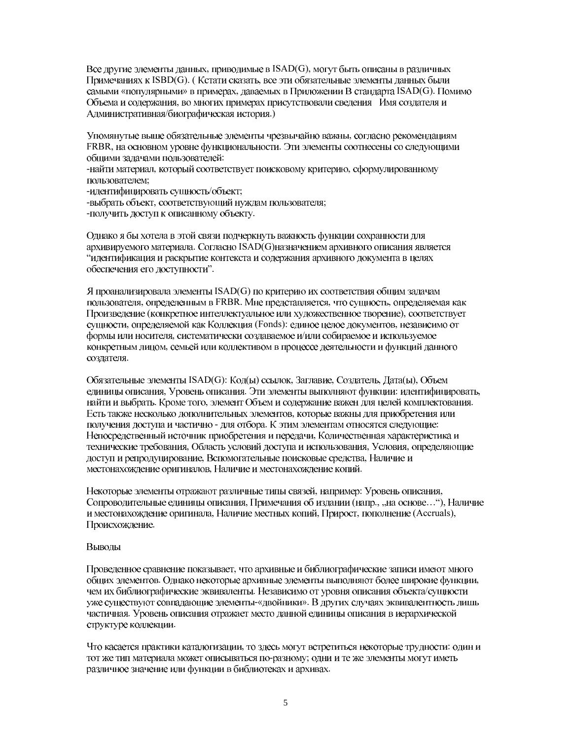Все другие элементы данных, приводимые в ISAD(G), могут быть описаны в различных Примечаниях к ISBD(G). (Кстати сказать, все эти обязательные элементы данных были самыми «популярными» в примерах, даваемых в Приложении В стандарта ISAD(G). Помимо Объема и содержания, во многих примерах присутствовали сведения Имя создателя и Административная/биографическая история.)

Упомянутые выше обязательные элементы чрезвычайно важны, согласно рекомендациям FRBR, на основном уровне функциональности. Эти элементы соотнесены со следующими общими задачами пользователей:

-найти материал, который соответствует поисковому критерию, сформулированному пользователем;

-идентифицировать сущность/объект;

-выбрать объект, соответствующий нуждам пользователя;

-получить доступ к описанному объекту.

Однако я бы хотела в этой связи подчеркнуть важность функции сохранности для архивируемого материала. Согласно ISAD(G)назначением архивного описания является "идентификация и раскрытие контекста и содержания архивного документа в целях обеспечения его доступности".

Я проанализировала элементы ISAD(G) по критерию их соответствия общим задачам пользователя, определенным в FRBR. Мне представляется, что сущность, определяемая как Произведение (конкретное интеллектуальное или художественное творение), соответствует сущности, определяемой как Коллекция (Fonds): единое целое документов, независимо от формы или носителя, систематически создаваемое и/или собираемое и используемое конкретным лицом, семьей или коллективом в процессе деятельности и функций данного создателя.

Обязательные элементы ISAD(G): Код(ы) ссылок, Заглавие, Создатель, Дата(ы), Объем единицы описания, Уровень описания. Эти элементы выполняют функции: идентифицировать, найти и выбрать. Кроме того, элемент Объем и содержание важен для целей комплектования. Есть также несколько дополнительных элементов, которые важны для приобретения или получения доступа и частично - для отбора. К этим элементам относятся следующие: Непосредственный источник приобретения и передачи, Количественная характеристика и технические требования, Область условий доступа и использования, Условия, определяющие доступ и репродуцирование, Вспомогательные поисковые средства, Наличие и местонахождение оригиналов. Наличие и местонахождение копий.

Некоторые элементы отражают различные типы связей, например: Уровень описания, Сопроводительные единицы описания, Примечания об издании (напр., "на основе..."), Наличие и местонахождение оригинала, Наличие местных копий, Прирост, пополнение (Accruals), Происхождение.

#### Выводы

Проведенное сравнение показывает, что архивные и библиографические записи имеют много общих элементов. Однако некоторые архивные элементы выполняют более широкие функции, чем их библиографические эквиваленты. Независимо от уровня описания объекта/сущности уже существуют совпадающие элементы-«двойники». В других случаях эквивалентность лишь частичная. Уровень описания отражает место данной единицы описания в иерархической структуре коллекции.

Что касается практики каталогизации, то здесь могут встретиться некоторые трудности: один и тот же тип материала может описываться по-разному; одни и те же элементы могут иметь различное значение или функции в библиотеках и архивах.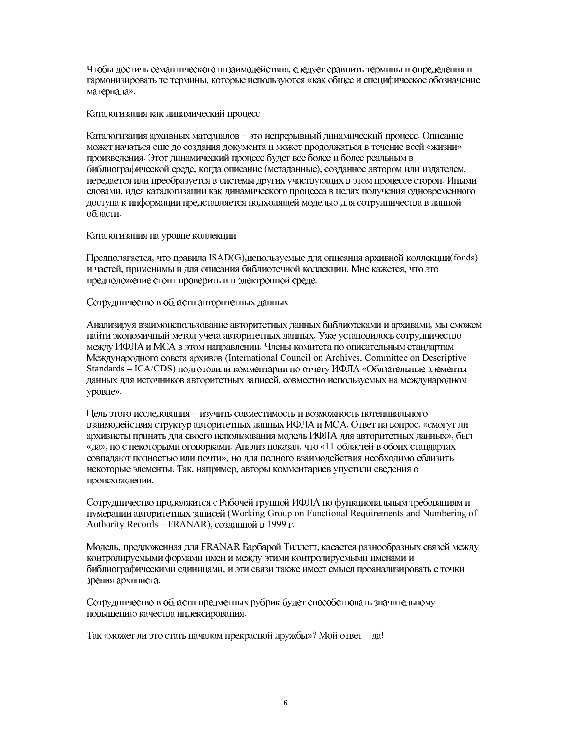Чтобы лостичь семантического ввзаимолействия, следует сравнить термины и определения и гармонизировать те термины, которые используются «как общее и специфическое обозначение материала».

Каталогизация как динамический процесс

Каталогизация архивных материалов - это непрерывный динамический процесс. Описание может начаться еще до создания документа и может продолжаться в течение всей «жизни» произведения. Этот динамический процесс будет все более и более реальным в библиографической среде, когда описание (метаданные), созданное автором или издателем, передается или преобразуется в системы других участвующих в этом процессе сторон. Иными словами, идея каталогизации как динамического процесса в целях получения одновременного доступа к информации представляется подходящей моделью для сотрудничества в данной области.

Каталогизация на уровне коллекции

Предполагается, что правила ISAD(G), используемые для описания архивной коллекции(fonds) и частей, применимы и для описания библиотечной коллекции. Мне кажется, что это предположение стоит проверить и в электронной среде.

Сотрудничество в области авторитетных данных

Анализируя взаимоиспользование авторитетных данных библиотеками и архивами, мы сможем найти экономичный метод учета авторитетных данных. Уже установилось сотрудничество между ИФЛА и МСА в этом направлении. Члены комитета по описательным стандартам Международного совета архивов (International Council on Archives, Committee on Descriptive Standards - ICA/CDS) подготовили комментарии по отчету ИФЛА «Обязательные элементы данных для источников авторитетных записей, совместно используемых на международном уровне».

Цель этого исследования - изучить совместимость и возможность потенциального взаимодействия структур авторитетных данных ИФЛА и МСА. Ответ на вопрос, «смогут ли архивисты принять для своего использования модель ИФЛА для авторитетных данных», был «да», но с некоторыми оговорками. Анализ показал, что «11 областей в обоих стандартах совпадают полностью или почти», но для полного взаимодействия необходимо сблизить некоторые элементы. Так, например, авторы комментариев упустили сведения о происхождении.

Сотрудничество продолжится с Рабочей группой ИФЛА по функциональным требованиям и нумерации авторитетных записей (Working Group on Functional Requirements and Numbering of Authority Records - FRANAR), созданной в 1999 г.

Модель, предложенная для FRANAR Барбарой Тиллетт, касается разнообразных связей между контролируемыми формами имен и между этими контролируемыми именами и библиографическими единицами, и эти связи также имеет смысл проанализировать с точки зрения архивиста.

Сотрудничество в области предметных рубрик будет способствовать значительному повышению качества индексирования.

Так «может ли это стать началом прекрасной дружбы»? Мой ответ - да!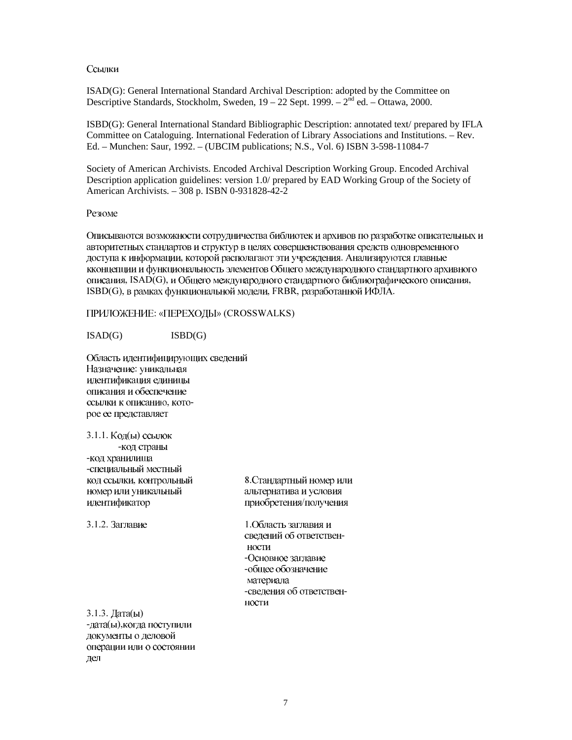#### Ссылки

ISAD(G): General International Standard Archival Description: adopted by the Committee on Descriptive Standards, Stockholm, Sweden,  $19-22$  Sept. 1999. –  $2<sup>nd</sup>$  ed. – Ottawa, 2000.

ISBD(G): General International Standard Bibliographic Description: annotated text/ prepared by IFLA Committee on Cataloguing, International Federation of Library Associations and Institutions. – Rev. Ed. – Munchen: Saur, 1992. – (UBCIM publications; N.S., Vol. 6) ISBN 3-598-11084-7

Society of American Archivists. Encoded Archival Description Working Group. Encoded Archival Description application guidelines: version 1.0/ prepared by EAD Working Group of the Society of American Archivists. - 308 p. ISBN 0-931828-42-2

#### Резюме

Описываются возможности сотрудничества библиотек и архивов по разработке описательных и авторитетных стандартов и структур в целях совершенствования средств одновременного доступа к информации, которой располагают эти учреждения. Анализируются главные кконцепции и функциональность элементов Общего международного стандартного архивного описания, ISAD(G), и Общего международного стандартного библиографического описания, ISBD(G), в рамках функциональной модели, FRBR, разработанной ИФЛА.

ПРИЛОЖЕНИЕ: «ПЕРЕХОДЫ» (CROSSWALKS)

 $ISBN(G)$  $ISAD(G)$ 

Область идентифицирующих сведений Назначение: уникальная идентификация единицы описания и обеспечение ссылки к описанию, которое ее представляет

3.1.1. Код(ы) ссылок -код страны -код хранилища -специальный местный код ссылки, контрольный номер или уникальный идентификатор

3.1.2. Заглавие

8. Стандартный номер или альтернатива и условия приобретения/получения

1. Область заглавия и сведений об ответственности -Основное заглавие -общее обозначение материала -сведения об ответственности

 $3.1.3. \text{ Дата}(\text{bl})$ -дата(ы), когда поступили документы о деловой операции или о состоянии дел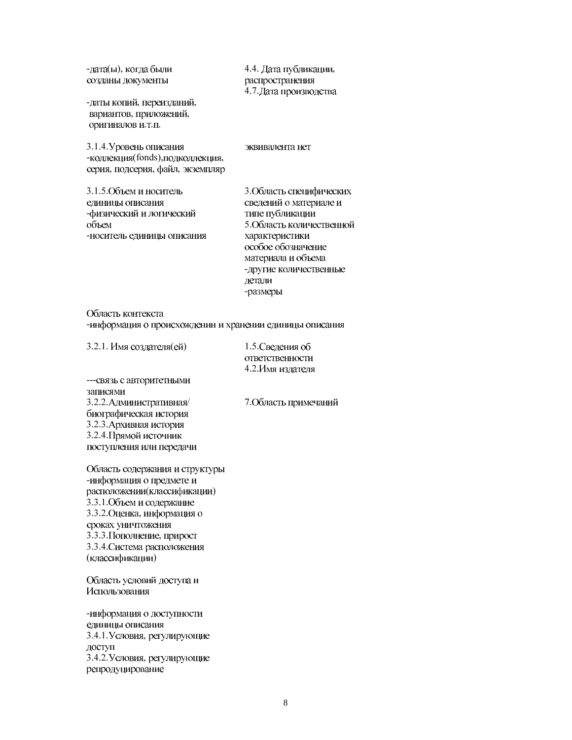-лата(ы), когда были 4.4. Дата публикации, распространения созданы документы 4.7. Дата производства -даты копий, переизданий, вариантов, приложений, оригиналов и.т.п. 3.1.4. Уровень описания эквивалента нет -коллекция(fonds), подколлекция, серия, подсерия, файл, экземпляр 3.1.5. Объем и носитель 3. Область специфических сведений о материале и елиницы описания -физический и логический типе публикации 5. Область количественной объем -носитель единицы описания характеристики особое обозначение материала и объема -другие количественные детали -размеры

Область контекста -информация о происхождении и хранении единицы описания

3.2.1. Имя создателя(ей)

1.5. Сведения об ответственности 4.2. Имя издателя

--- связь с авторитетными записями 3.2.2. Административная/ биографическая история 3.2.3. Архивная история 3.2.4. Прямой источник поступления или передачи

7. Область примечаний

Область содержания и структуры -информация о предмете и расположении(классификации) 3.3.1. Объем и содержание 3.3.2. Оценка, информация о сроках уничтожения 3.3.3. Пополнение, прирост 3.3.4. Система расположения (классификации)

Область условий доступа и Использования

-информация о доступности единицы описания 3.4.1. Условия, регулирующие доступ 3.4.2. Условия, регулирующие репродуцирование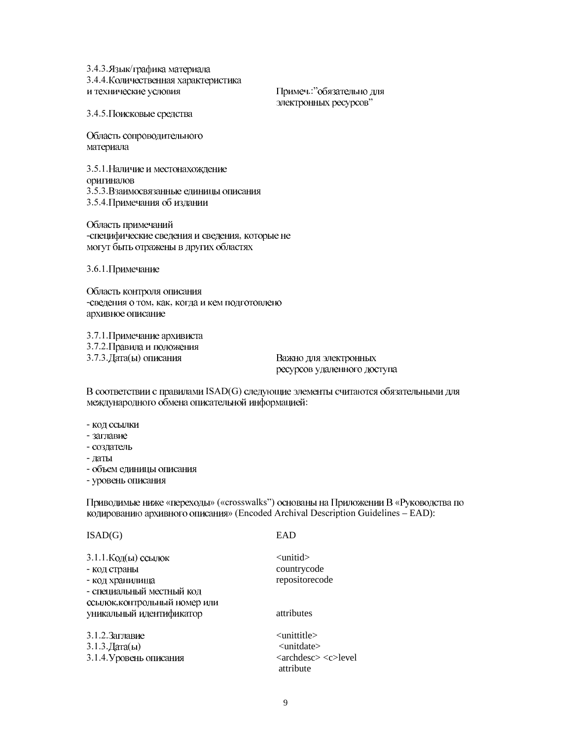3.4.3. Язык/графика материала 3.4.4. Количественная характеристика и технические условия

Примеч.: обязательно для электронных ресурсов"

3.4.5. Поисковые средства

Область сопроводительного материала

3.5.1. Наличие и местонахождение оригиналов 3.5.3. Взаимосвязанные единицы описания 3.5.4. Примечания об издании

Область примечаний -специфические сведения и сведения, которые не могут быть отражены в других областях

3.6.1. Примечание

Область контроля описания -сведения о том, как, когда и кем подготовлено архивное описание

3.7.1. Примечание архивиста 3.7.2. Правила и положения 3.7.3. Дата(ы) описания

Важно для электронных ресурсов удаленного доступа

В соответствии с правилами ISAD(G) следующие элементы считаются обязательными для международного обмена описательной информацией:

- код ссылки
- заглавие
- создатель
- даты
- объем единицы описания

- уровень описания

Приводимые ниже «переходы» («crosswalks") основаны на Приложении В «Руководства по кодированию архивного описания» (Encoded Archival Description Guidelines - EAD):

#### $ISAD(G)$

**EAD** 

| 3.1.1. Код(ы) ссылок          | $\langle$ unitid $\rangle$                   |
|-------------------------------|----------------------------------------------|
| - код страны                  | countrycode                                  |
| - код хранилища               | repositorecode                               |
| - специальный местный код     |                                              |
| ссылок, контрольный номер или |                                              |
| уникальный идентификатор      | attributes                                   |
| $3.1.2.3$ аглавие             | $\langle$ unittitle $\rangle$                |
| $3.1.3$ . Дата(ы)             | <unitdate></unitdate>                        |
| 3.1.4. Уровень описания       | $\langle$ archdesc $>$ $\langle$ c $>$ level |

attribute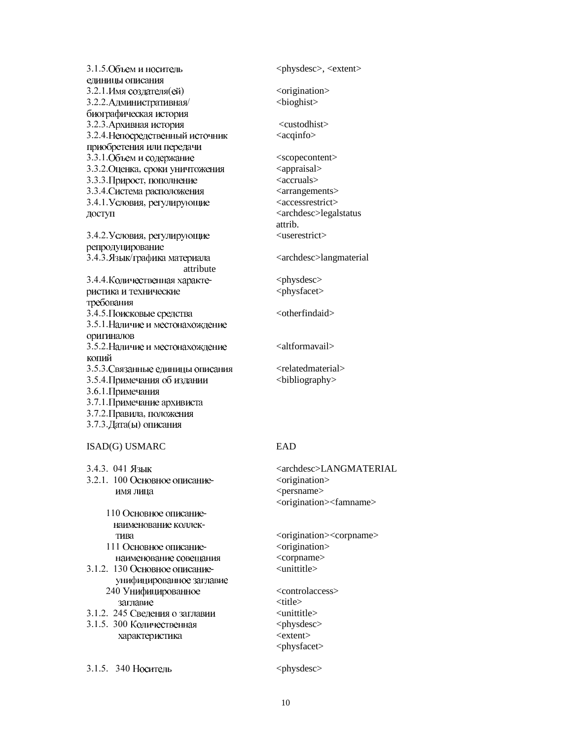| 3.1.5. Объем и носитель           | <physdesc>, <extent></extent></physdesc>         |
|-----------------------------------|--------------------------------------------------|
| единицы описания                  |                                                  |
| 3.2.1. Имя создателя (ей)         | <origination></origination>                      |
| 3.2.2. Административная/          |                                                  |
| биографическая история            |                                                  |
| 3.2.3. Архивная история           | <custodhist></custodhist>                        |
| 3.2.4. Непосредственный источник  | <acqinfo></acqinfo>                              |
| приобретения или передачи         |                                                  |
| 3.3.1. Объем и содержание         | <scopecontent></scopecontent>                    |
| 3.3.2. Оценка, сроки уничтожения  | <appraisal></appraisal>                          |
| 3.3.3. Прирост, пополнение        | <accruals></accruals>                            |
| 3.3.4. Система расположения       | <arrangements></arrangements>                    |
| 3.4.1. Условия, регулирующие      | <accessrestrict></accessrestrict>                |
| доступ                            | <archdesc>legalstatus</archdesc>                 |
|                                   | attrib.                                          |
| 3.4.2. Условия, регулирующие      | <userestrict></userestrict>                      |
| репродуцирование                  |                                                  |
| 3.4.3. Язык/графика материала     | <archdesc>langmaterial</archdesc>                |
| attribute                         |                                                  |
| 3.4.4. Количественная характе-    | <physdesc></physdesc>                            |
| ристика и технические             | <physfacet></physfacet>                          |
| требования                        |                                                  |
| 3.4.5. Поисковые средства         | <otherfindaid></otherfindaid>                    |
| 3.5.1. Наличие и местонахождение  |                                                  |
| оригиналов                        |                                                  |
| 3.5.2. Наличие и местонахождение  | <altformavail></altformavail>                    |
| копий                             |                                                  |
| 3.5.3. Связанные единицы описания | <relatedmaterial></relatedmaterial>              |
| 3.5.4. Примечания об издании      | <br>bibliography>                                |
| 3.6.1. Примечания                 |                                                  |
| 3.7.1. Примечание архивиста       |                                                  |
| 3.7.2. Правила, положения         |                                                  |
| 3.7.3. Дата(ы) описания           |                                                  |
|                                   |                                                  |
| ISAD(G) USMARC                    | <b>EAD</b>                                       |
|                                   |                                                  |
| 3.4.3. 041 Язык                   | <archdesc>LANGMATERIAL</archdesc>                |
| 3.2.1. 100 Основное описание-     | <origination></origination>                      |
| имя лица                          | <persname></persname>                            |
|                                   | <origination><famname></famname></origination>   |
| 110 Основное описание-            |                                                  |
| наименование коллек-              |                                                  |
| тива                              | <origination><corpname></corpname></origination> |
| 111 Основное описание-            | <origination></origination>                      |
| наименование совещания            | <corpname></corpname>                            |
| 3.1.2. 130 Основное описание-     | <unittitle></unittitle>                          |
| унифицированное заглавие          |                                                  |
| 240 Унифицированное               | <controlaccess></controlaccess>                  |
| заглавие                          | <title></title>                                  |
| 3.1.2. 245 Сведения о заглавии    | <unittitle></unittitle>                          |
| 3.1.5. 300 Количественная         | <physdesc></physdesc>                            |
| характеристика                    | <extent></extent>                                |
|                                   | <physfacet></physfacet>                          |
|                                   |                                                  |

3.1.5. 340 Носитель <physdesc>

10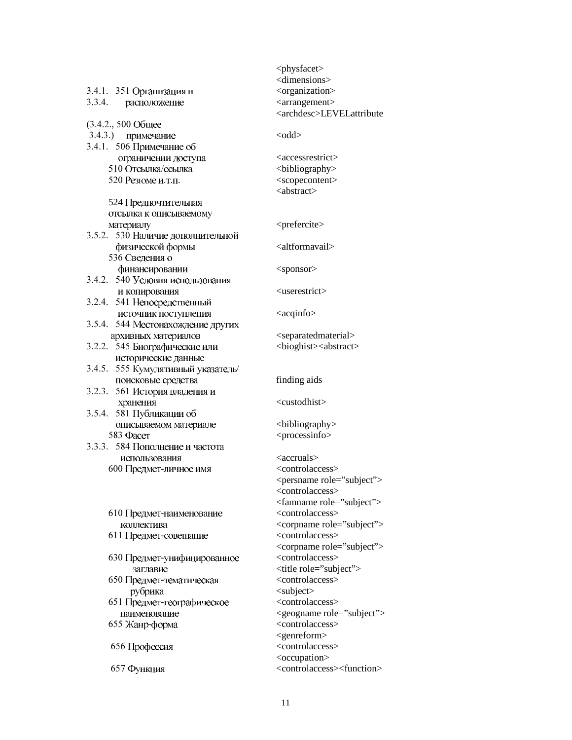| 3.4.1. 351 Организация и<br>3.3.4. расположение | <physfacet><br/><dimensions><br/><organization><br/><arrangement><br/><archdesc>LEVELattribute</archdesc></arrangement></organization></dimensions></physfacet> |
|-------------------------------------------------|-----------------------------------------------------------------------------------------------------------------------------------------------------------------|
| (3.4.2., 500 Общее                              |                                                                                                                                                                 |
| 3.4.3.) примечание                              | $<$ odd $>$                                                                                                                                                     |
| 3.4.1. 506 Примечание об                        |                                                                                                                                                                 |
| ограничении доступа                             | <accessrestrict></accessrestrict>                                                                                                                               |
| 510 Отсылка/ссылка                              | <br>bibliography>                                                                                                                                               |
| 520 Резюме и.т.п.                               | <scopecontent><br/><abstract></abstract></scopecontent>                                                                                                         |
| 524 Предпочтительная                            |                                                                                                                                                                 |
| отсылка к описываемому                          |                                                                                                                                                                 |
| материалу                                       | <prefercite></prefercite>                                                                                                                                       |
| 3.5.2. 530 Наличие дополнительной               |                                                                                                                                                                 |
| физической формы<br>536 Сведения о              | <altformavail></altformavail>                                                                                                                                   |
| финансировании                                  | <sponsor></sponsor>                                                                                                                                             |
| 3.4.2. 540 Условия использования                |                                                                                                                                                                 |
| и копирования                                   | <userestrict></userestrict>                                                                                                                                     |
| 3.2.4. 541 Непосредственный                     |                                                                                                                                                                 |
| источник поступления                            | <acqinfo></acqinfo>                                                                                                                                             |
| 3.5.4. 544 Местонахождение других               |                                                                                                                                                                 |
| архивных материалов                             | <separatedmaterial></separatedmaterial>                                                                                                                         |
| 3.2.2. 545 Биографические или                   | <br><br>cologhist> <abstract></abstract>                                                                                                                        |
| исторические данные                             |                                                                                                                                                                 |
| 3.4.5. 555 Кумулятивный указатель/              |                                                                                                                                                                 |
| поисковые средства                              | finding aids                                                                                                                                                    |
| 3.2.3. 561 История владения и                   |                                                                                                                                                                 |
| хранения                                        | <custodhist></custodhist>                                                                                                                                       |
| 3.5.4. 581 Публикации об                        |                                                                                                                                                                 |
| описываемом материале<br>583 Фасет              | <br>bibliography>                                                                                                                                               |
| 3.3.3. 584 Пополнение и частота                 | <processinfo></processinfo>                                                                                                                                     |
|                                                 | $\langle \text{accruals} \rangle$                                                                                                                               |
| использования<br>600 Предмет-личное имя         | <controlaccess></controlaccess>                                                                                                                                 |
|                                                 | <persname role="subject"></persname>                                                                                                                            |
|                                                 | <controlaccess></controlaccess>                                                                                                                                 |
|                                                 | <famname role="subject"></famname>                                                                                                                              |
| 610 Предмет-наименование                        | <controlaccess></controlaccess>                                                                                                                                 |
| коллектива                                      | <corpname role="subject"></corpname>                                                                                                                            |
| 611 Предмет-совещание                           | <controlaccess></controlaccess>                                                                                                                                 |
|                                                 | <corpname role="subject"></corpname>                                                                                                                            |
| 630 Предмет-унифицированное                     | <controlaccess></controlaccess>                                                                                                                                 |
| заглавие                                        | <title role="subject"></title>                                                                                                                                  |
| 650 Предмет-тематическая                        | <controlaccess></controlaccess>                                                                                                                                 |
| рубрика                                         | <subject></subject>                                                                                                                                             |
| 651 Предмет-географическое                      | <controlaccess></controlaccess>                                                                                                                                 |
| наименование                                    | <geogname role="subject"></geogname>                                                                                                                            |
| 655 Жанр-форма                                  | <controlaccess></controlaccess>                                                                                                                                 |
|                                                 | <genreform></genreform>                                                                                                                                         |
| 656 Профессия                                   | <controlaccess></controlaccess>                                                                                                                                 |
|                                                 | <occupation></occupation>                                                                                                                                       |
| 657 Функция                                     | <controlaccess><function></function></controlaccess>                                                                                                            |